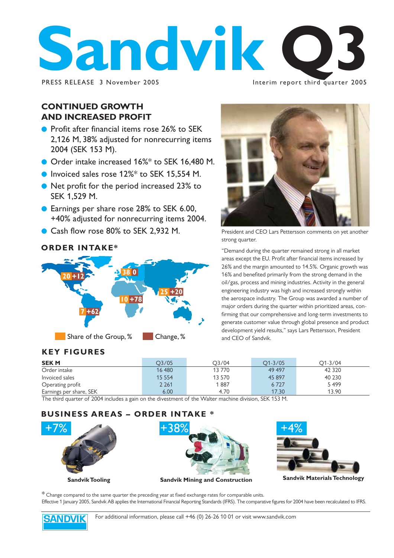

### Interim report third quarter 2005

### **CONTINUED GROWTH AND INCREASED PROFIT**

- Profit after financial items rose 26% to SEK 2,126 M, 38% adjusted for nonrecurring items 2004 (SEK 153 M).
- Order intake increased 16%<sup>\*</sup> to SEK 16,480 M.
- Invoiced sales rose 12%\* to SEK 15,554 M.
- Net profit for the period increased 23% to SEK 1,529 M.
- Earnings per share rose 28% to SEK 6.00, +40% adjusted for nonrecurring items 2004.
- Cash flow rose 80% to SEK 2,932 M.

### **ORDER INTAKE\***



### **KEY FIGURES**



President and CEO Lars Pettersson comments on yet another strong quarter.

"Demand during the quarter remained strong in all market areas except the EU. Profit after financial items increased by 26% and the margin amounted to 14.5%. Organic growth was 16% and benefited primarily from the strong demand in the oil/gas, process and mining industries. Activity in the general engineering industry was high and increased strongly within the aerospace industry. The Group was awarded a number of major orders during the quarter within prioritized areas, confirming that our comprehensive and long-term investments to generate customer value through global presence and product development yield results," says Lars Pettersson, President and CEO of Sandvik.

| <b>SEKM</b>             | O3/05    | O <sub>3</sub> /04 | $O1 - 3/05$ | $O1 - 3/04$ |
|-------------------------|----------|--------------------|-------------|-------------|
| Order intake            | 16 480   | 13770              | 49 497      | 42 3 20     |
| Invoiced sales          | 15 5 5 4 | 13 570             | 45 897      | 40 230      |
| Operating profit        | 2 2 6 1  | 1887               | 6727        | 5499        |
| Earnings per share, SEK | 6.00     | 4.70               | 17.30       | 13.90       |

The third quarter of 2004 includes a gain on the divestment of the Walter machine division, SEK 153 M.

### **BUSINESS AREAS – ORDER INTAKE \***







**Sandvik Tooling Sandvik Mining and Construction Sandvik Materials Technology**

 $*$  Change compared to the same quarter the preceding year at fixed exchange rates for comparable units. Effective 1 January 2005, Sandvik AB applies the International Financial Reporting Standards (IFRS). The comparative figures for 2004 have been recalculated to IFRS.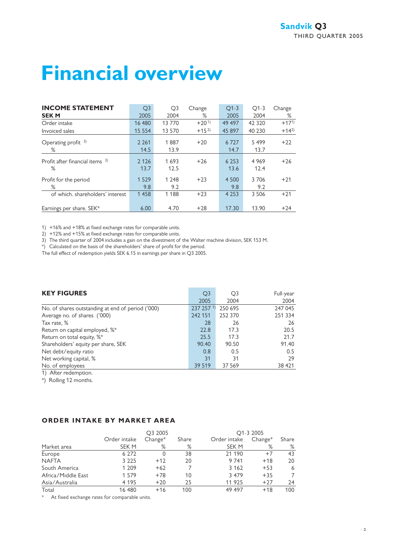# **Financial overview**

| <b>INCOME STATEMENT</b>                    | Q <sub>3</sub>  | Q <sub>3</sub> | Change    | $O1-3$          | $O1-3$       | Change    |
|--------------------------------------------|-----------------|----------------|-----------|-----------------|--------------|-----------|
| <b>SEKM</b>                                | 2005            | 2004           | ℅         | 2005            | 2004         | $\%$      |
| Order intake                               | 16 480          | 13 770         | $+20^{1}$ | 49 497          | 42 3 20      | $+17^{1}$ |
| Invoiced sales                             | 15 5 5 4        | 13 570         | $+15^{2}$ | 45 897          | 40 230       | $+14^{2}$ |
| Operating profit $3$ )<br>$\%$             | 2 2 6 1<br>14.5 | 1887<br>13.9   | $+20$     | 6727<br>14.7    | 5499<br>13.7 | $+22$     |
| Profit after financial items $3$ )<br>$\%$ | 2 1 2 6<br>13.7 | 1693<br>12.5   | $+26$     | 6 2 5 3<br>13.6 | 4969<br>12.4 | $+26$     |
| Profit for the period<br>$\%$              | 1529<br>9.8     | 1 2 4 8<br>9.2 | $+23$     | 4 5 0 0<br>9.8  | 3706<br>9.2  | $+21$     |
| of which, shareholders' interest           | 1458            | 1 1 8 8        | $+23$     | 4 2 5 3         | 3 5 0 6      | $+21$     |
| Earnings per share. SEK*                   | 6.00            | 4.70           | $+28$     | 17.30           | 13.90        | $+24$     |

1) +16% and +18% at fixed exchange rates for comparable units.

2) +12% and +15% at fixed exchange rates for comparable units.

3) The third quarter of 2004 includes a gain on the divestment of the Walter machine division, SEK 153 M.

\*) Calculated on the basis of the shareholders' share of profit for the period.

The full effect of redemption yields SEK 6.15 in earnings per share in Q3 2005.

| O <sub>3</sub> | O <sub>3</sub> | Full-year |
|----------------|----------------|-----------|
| 2005           | 2004           | 2004      |
| 237 257        | 250 695        | 247 045   |
| 242 151        | 252 370        | 251 334   |
| 28             | 26             | 26        |
| 22.8           | 17.3           | 20.5      |
| 25.5           | 17.3           | 21.7      |
| 90.40          | 90.50          | 91.40     |
| 0.8            | 0.5            | 0.5       |
| 31             | 31             | 29        |
| 39 519         | 37 5 69        | 38 4 21   |
|                |                |           |

1) After redemption.

\*) Rolling 12 months.

### **ORDER INTAKE BY MARKET AREA**

|                    |              | O <sub>3</sub> 2005 |       |              | Q1-3 2005  |       |  |  |
|--------------------|--------------|---------------------|-------|--------------|------------|-------|--|--|
|                    | Order intake | $Change^*$          | Share | Order intake | $Change^*$ | Share |  |  |
| Market area        | SEK M        | %                   | %     | SEK M        | %          | %     |  |  |
| Europe             | 6 2 7 2      | 0                   | 38    | 21 190       | $+7$       | 43    |  |  |
| <b>NAFTA</b>       | 3 2 2 5      | $+12$               | 20    | 9 7 4 1      | $+18$      | 20    |  |  |
| South America      | 1 2 0 9      | $+62$               |       | 3 1 6 2      | $+53$      | 6     |  |  |
| Africa/Middle East | 1 5 7 9      | $+78$               | 10    | 3 4 7 9      | $+35$      | 7     |  |  |
| Asia/Australia     | 4 1 9 5      | $+20$               | 25    | 11 9 25      | $+27$      | 24    |  |  |
| Total              | 16 480       | $+16$               | 100   | 49 497       | $+18$      | 100   |  |  |

\* At fixed exchange rates for comparable units.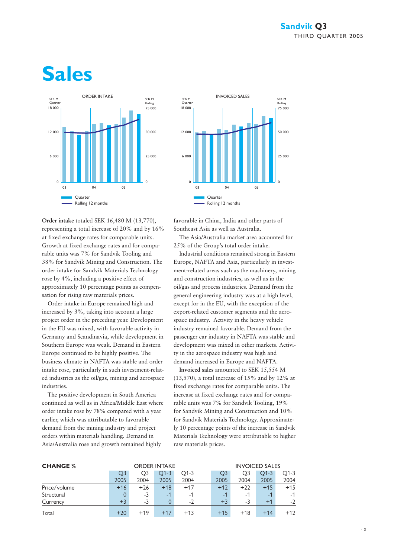# **Sales**





**Order intake** totaled SEK 16,480 M (13,770), representing a total increase of 20% and by 16% at fixed exchange rates for comparable units. Growth at fixed exchange rates and for comparable units was 7% for Sandvik Tooling and 38% for Sandvik Mining and Construction. The order intake for Sandvik Materials Technology rose by 4%, including a positive effect of approximately 10 percentage points as compensation for rising raw materials prices.

Order intake in Europe remained high and increased by 3%, taking into account a large project order in the preceding year. Development in the EU was mixed, with favorable activity in Germany and Scandinavia, while development in Southern Europe was weak. Demand in Eastern Europe continued to be highly positive. The business climate in NAFTA was stable and order intake rose, particularly in such investment-related industries as the oil/gas, mining and aerospace industries.

The positive development in South America continued as well as in Africa/Middle East where order intake rose by 78% compared with a year earlier, which was attributable to favorable demand from the mining industry and project orders within materials handling. Demand in Asia/Australia rose and growth remained highly

favorable in China, India and other parts of Southeast Asia as well as Australia.

The Asia/Australia market area accounted for 25% of the Group's total order intake.

Industrial conditions remained strong in Eastern Europe, NAFTA and Asia, particularly in investment-related areas such as the machinery, mining and construction industries, as well as in the oil/gas and process industries. Demand from the general engineering industry was at a high level, except for in the EU, with the exception of the export-related customer segments and the aerospace industry. Activity in the heavy vehicle industry remained favorable. Demand from the passenger car industry in NAFTA was stable and development was mixed in other markets. Activity in the aerospace industry was high and demand increased in Europe and NAFTA.

**Invoiced sales** amounted to SEK 15,554 M (13,570), a total increase of 15% and by 12% at fixed exchange rates for comparable units. The increase at fixed exchange rates and for comparable units was 7% for Sandvik Tooling, 19% for Sandvik Mining and Construction and 10% for Sandvik Materials Technology. Approximately 10 percentage points of the increase in Sandvik Materials Technology were attributable to higher raw materials prices.

| <b>CHANGE %</b> | <b>ORDER INTAKE</b> |       |       |        | <b>INVOICED SALES</b> |       |        |        |
|-----------------|---------------------|-------|-------|--------|-----------------------|-------|--------|--------|
|                 | O <sub>3</sub>      | O3    | O1-3  | $O1-3$ | O3                    | O3    | $O1-3$ | $O1-3$ |
|                 | 2005                | 2004  | 2005  | 2004   | 2005                  | 2004  | 2005   | 2004   |
| Price/volume    | $+16$               | $+26$ | $+18$ | $+17$  | $+12$                 | $+22$ | $+15$  | $+15$  |
| Structural      | 0                   | $-3$  | $-1$  | $-1$   | $-1$                  | $-1$  | $-1$   | $-1$   |
| Currency        | $+3$                | $-3$  |       | $-2$   | $+3$                  | $-3$  | $+1$   | $-2$   |
| Total           | $+20$               | $+19$ | $+17$ | $+13$  | $+15$                 | $+18$ | $+14$  | $+12$  |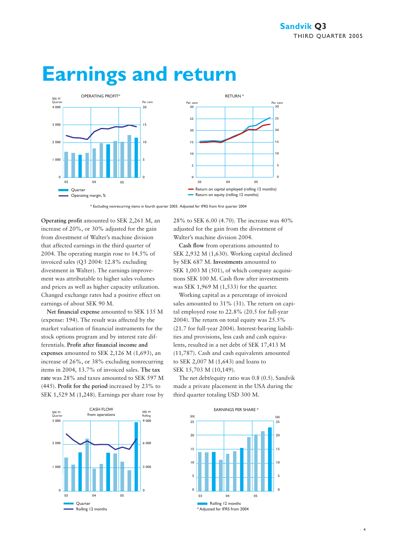

## **Earnings and return**

\* Excluding nonrecurring items in fourth quarter 2003. Adjusted for IFRS from first quarter 2004

**Operating profit** amounted to SEK 2,261 M, an increase of 20%, or 30% adjusted for the gain from divestment of Walter's machine division that affected earnings in the third quarter of 2004. The operating margin rose to 14.5% of invoiced sales (Q3 2004: 12.8% excluding divestment in Walter). The earnings improvement was attributable to higher sales volumes and prices as well as higher capacity utilization. Changed exchange rates had a positive effect on earnings of about SEK 90 M.

**Net financial expense** amounted to SEK 135 M (expense: 194). The result was affected by the market valuation of financial instruments for the stock options program and by interest rate differentials. **Profit after financial income and expenses** amounted to SEK 2,126 M (1,693), an increase of 26%, or 38% excluding nonrecurring items in 2004, 13.7% of invoiced sales. **The tax rate** was 28% and taxes amounted to SEK 597 M (445). **Profit for the period** increased by 23% to SEK 1,529 M (1,248). Earnings per share rose by



28% to SEK 6.00 (4.70). The increase was 40% adjusted for the gain from the divestment of Walter's machine division 2004.

**Cash flow** from operations amounted to SEK 2,932 M (1,630). Working capital declined by SEK 687 M. **Investments** amounted to SEK 1,003 M (501), of which company acquisitions SEK 100 M. Cash flow after investments was SEK 1,969 M (1,533) for the quarter.

Working capital as a percentage of invoiced sales amounted to 31% (31). The return on capital employed rose to 22.8% (20.5 for full-year 2004). The return on total equity was 25.5% (21.7 for full-year 2004). Interest-bearing liabilities and provisions, less cash and cash equivalents, resulted in a net debt of SEK 17,413 M (11,787). Cash and cash equivalents amounted to SEK 2,007 M (1,643) and loans to SEK 15,703 M (10,149).

The net debt/equity ratio was 0.8 (0.5). Sandvik made a private placement in the USA during the third quarter totaling USD 300 M.

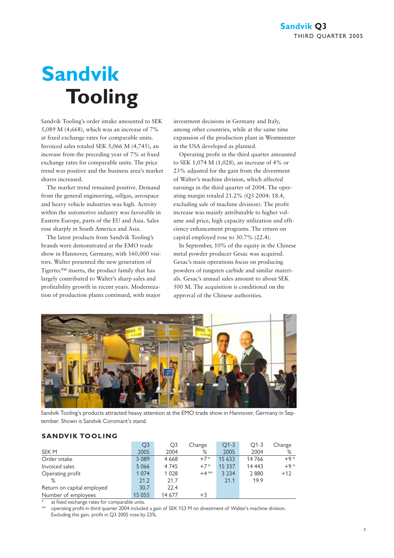# **Sandvik Tooling**

Sandvik Tooling's order intake amounted to SEK 5,089 M (4,668), which was an increase of 7% at fixed exchange rates for comparable units. Invoiced sales totaled SEK 5,066 M (4,745), an increase from the preceding year of 7% at fixed exchange rates for comparable units. The price trend was positive and the business area's market shares increased.

The market trend remained positive. Demand from the general engineering, oil/gas, aerospace and heavy vehicle industries was high. Activity within the automotive industry was favorable in Eastern Europe, parts of the EU and Asia. Sales rose sharply in South America and Asia.

The latest products from Sandvik Tooling's brands were demonstrated at the EMO trade show in Hannover, Germany, with 160,000 visitors. Walter presented the new generation of Tigertec™ inserts, the product family that has largely contributed to Walter's sharp sales and profitability growth in recent years. Modernization of production plants continued, with major

investment decisions in Germany and Italy, among other countries, while at the same time expansion of the production plant in Westminster in the USA developed as planned.

Operating profit in the third quarter amounted to SEK 1,074 M (1,028), an increase of 4% or 23% adjusted for the gain from the divestment of Walter's machine division, which affected earnings in the third quarter of 2004. The operating margin totaled 21.2% (Q3 2004: 18.4, excluding sale of machine division). The profit increase was mainly attributable to higher volume and price, high capacity utilization and efficiency enhancement programs. The return on capital employed rose to 30.7% (22.4).

In September, 10% of the equity in the Chinese metal powder producer Gesac was acquired. Gesac's main operations focus on producing powders of tungsten carbide and similar materials. Gesac's annual sales amount to about SEK 500 M. The acquisition is conditional on the approval of the Chinese authorities.



Sandvik Tooling's products attracted heavy attention at the EMO trade show in Hannover, Germany in September. Shown is Sandvik Coromant's stand.

### **SANDVIK TOOLING**

|                            | Q <sub>3</sub> | O3      | Change | $O1-3$   | $O1-3$  | Change |
|----------------------------|----------------|---------|--------|----------|---------|--------|
| SEK M                      | 2005           | 2004    | %      | 2005     | 2004    | %      |
| Order intake               | 5 0 8 9        | 4 6 6 8 | $+7*$  | 15 633   | 14766   | $+9*$  |
| Invoiced sales             | 5 0 6 6        | 4745    | $+7*$  | 15 3 3 7 | 14 4 43 | $+9*$  |
| Operating profit           | 1 0 7 4        | 1 0 28  | $+4**$ | 3 2 3 4  | 2880    | $+12$  |
| %                          | 21.2           | 21.7    |        | 21.1     | 19.9    |        |
| Return on capital employed | 30.7           | 22.4    |        |          |         |        |
| Number of employees        | 15 0 55        | 14 677  | $+3$   |          |         |        |

at fixed exchange rates for comparable units.

operating profit in third quarter 2004 included a gain of SEK 153 M on divestment of Walter's machine division. Excluding this gain, profit in Q3 2005 rose by 23%.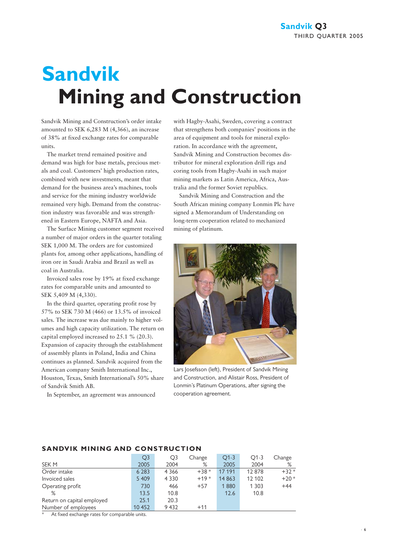# **Sandvik Mining and Construction**

Sandvik Mining and Construction's order intake amounted to SEK 6,283 M (4,366), an increase of 38% at fixed exchange rates for comparable units.

The market trend remained positive and demand was high for base metals, precious metals and coal. Customers' high production rates, combined with new investments, meant that demand for the business area's machines, tools and service for the mining industry worldwide remained very high. Demand from the construction industry was favorable and was strengthened in Eastern Europe, NAFTA and Asia.

The Surface Mining customer segment received a number of major orders in the quarter totaling SEK 1,000 M. The orders are for customized plants for, among other applications, handling of iron ore in Saudi Arabia and Brazil as well as coal in Australia.

Invoiced sales rose by 19% at fixed exchange rates for comparable units and amounted to SEK 5,409 M (4,330).

In the third quarter, operating profit rose by 57% to SEK 730 M (466) or 13.5% of invoiced sales. The increase was due mainly to higher volumes and high capacity utilization. The return on capital employed increased to 25.1 % (20.3). Expansion of capacity through the establishment of assembly plants in Poland, India and China continues as planned. Sandvik acquired from the American company Smith International Inc., Houston, Texas, Smith International's 50% share of Sandvik Smith AB.

In September, an agreement was announced

with Hagby-Asahi, Sweden, covering a contract that strengthens both companies' positions in the area of equipment and tools for mineral exploration. In accordance with the agreement, Sandvik Mining and Construction becomes distributor for mineral exploration drill rigs and coring tools from Hagby-Asahi in such major mining markets as Latin America, Africa, Australia and the former Soviet republics.

Sandvik Mining and Construction and the South African mining company Lonmin Plc have signed a Memorandum of Understanding on long-term cooperation related to mechanized mining of platinum.



Lars Josefsson (left), President of Sandvik Mining and Construction, and Alistair Ross, President of Lonmin's Platinum Operations, after signing the cooperation agreement.

|                            | O <sub>3</sub> | O3      | Change | $O1-3$  | $O1-3$  | Change |
|----------------------------|----------------|---------|--------|---------|---------|--------|
| SEK <sub>M</sub>           | 2005           | 2004    | %      | 2005    | 2004    | %      |
| Order intake               | 6 2 8 3        | 4 3 6 6 | $+38*$ | 17 191  | 12878   | $+32*$ |
| Invoiced sales             | 5 4 0 9        | 4 3 3 0 | $+19*$ | 14 8 63 | 12 102  | $+20*$ |
| Operating profit           | 730            | 466     | $+57$  | 1880    | 1 3 0 3 | $+44$  |
| %                          | 13.5           | 10.8    |        | 12.6    | 10.8    |        |
| Return on capital employed | 25.1           | 20.3    |        |         |         |        |
| Number of employees        | 10 452         | 9432    | $+11$  |         |         |        |

#### **SANDVIK MINING AND CONSTRUCTION**

At fixed exchange rates for comparable units.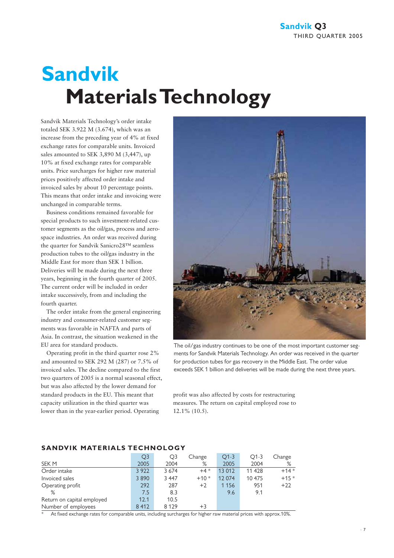# **Sandvik Materials Technology**

Sandvik Materials Technology's order intake totaled SEK 3.922 M (3.674), which was an increase from the preceding year of 4% at fixed exchange rates for comparable units. Invoiced sales amounted to SEK 3,890 M (3,447), up 10% at fixed exchange rates for comparable units. Price surcharges for higher raw material prices positively affected order intake and invoiced sales by about 10 percentage points. This means that order intake and invoicing were unchanged in comparable terms.

Business conditions remained favorable for special products to such investment-related customer segments as the oil/gas, process and aerospace industries. An order was received during the quarter for Sandvik Sanicro28™ seamless production tubes to the oil/gas industry in the Middle East for more than SEK 1 billion. Deliveries will be made during the next three years, beginning in the fourth quarter of 2005. The current order will be included in order intake successively, from and including the fourth quarter.

The order intake from the general engineering industry and consumer-related customer segments was favorable in NAFTA and parts of Asia. In contrast, the situation weakened in the EU area for standard products.

Operating profit in the third quarter rose 2% and amounted to SEK 292 M (287) or 7.5% of invoiced sales. The decline compared to the first two quarters of 2005 is a normal seasonal effect, but was also affected by the lower demand for standard products in the EU. This meant that capacity utilization in the third quarter was lower than in the year-earlier period. Operating



The oil/gas industry continues to be one of the most important customer segments for Sandvik Materials Technology. An order was received in the quarter for production tubes for gas recovery in the Middle East. The order value exceeds SEK 1 billion and deliveries will be made during the next three years.

profit was also affected by costs for restructuring measures. The return on capital employed rose to 12.1% (10.5).

|                            | O <sub>3</sub> | O3      | Change | $O1-3$  | $O1-3$ | Change |
|----------------------------|----------------|---------|--------|---------|--------|--------|
| SEK M                      | 2005           | 2004    | %      | 2005    | 2004   | %      |
| Order intake               | 3 9 2 2        | 3 6 7 4 | $+4*$  | 13 012  | 11 428 | $+14*$ |
| Invoiced sales             | 3890           | 3 4 4 7 | $+10*$ | 12 0 74 | 10 475 | $+15*$ |
| Operating profit           | 292            | 287     | $+2$   | 1 1 5 6 | 951    | $+22$  |
| %                          | 7.5            | 8.3     |        | 9.6     | 9.1    |        |
| Return on capital employed | 12.1           | 10.5    |        |         |        |        |
| Number of employees        | 8 4 1 2        | 8 1 2 9 | $+3$   |         |        |        |

### **SANDVIK MATERIALS TECHNOLOGY**

At fixed exchange rates for comparable units, including surcharges for higher raw material prices with approx.10%.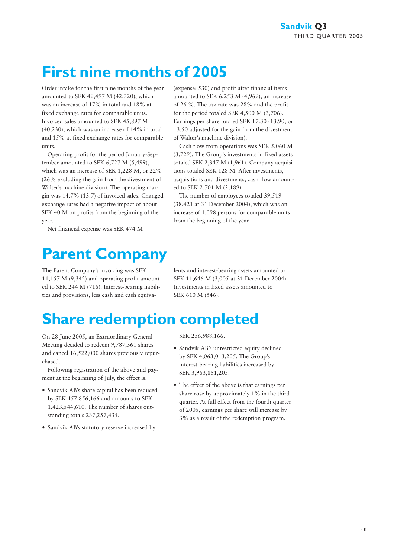## **First nine months of 2005**

Order intake for the first nine months of the year amounted to SEK 49,497 M (42,320), which was an increase of 17% in total and 18% at fixed exchange rates for comparable units. Invoiced sales amounted to SEK 45,897 M (40,230), which was an increase of 14% in total and 15% at fixed exchange rates for comparable units.

Operating profit for the period January-September amounted to SEK 6,727 M (5,499), which was an increase of SEK 1,228 M, or 22% (26% excluding the gain from the divestment of Walter's machine division). The operating margin was 14.7% (13.7) of invoiced sales. Changed exchange rates had a negative impact of about SEK 40 M on profits from the beginning of the year.

Net financial expense was SEK 474 M

## **Parent Company**

The Parent Company's invoicing was SEK 11,157 M (9,342) and operating profit amounted to SEK 244 M (716). Interest-bearing liabilities and provisions, less cash and cash equiva(expense: 530) and profit after financial items amounted to SEK 6,253 M (4,969), an increase of 26 %. The tax rate was 28% and the profit for the period totaled SEK 4,500 M (3,706). Earnings per share totaled SEK 17.30 (13.90, or 13.50 adjusted for the gain from the divestment of Walter's machine division).

Cash flow from operations was SEK 5,060 M (3,729). The Group's investments in fixed assets totaled SEK 2,347 M (1,961). Company acquisitions totaled SEK 128 M. After investments, acquisitions and divestments, cash flow amounted to SEK 2,701 M (2,189).

The number of employees totaled 39,519 (38,421 at 31 December 2004), which was an increase of 1,098 persons for comparable units from the beginning of the year.

lents and interest-bearing assets amounted to SEK 11,646 M (3,005 at 31 December 2004). Investments in fixed assets amounted to SEK 610 M (546).

## **Share redemption completed**

On 28 June 2005, an Extraordinary General Meeting decided to redeem 9,787,361 shares and cancel 16,522,000 shares previously repurchased.

Following registration of the above and payment at the beginning of July, the effect is:

- Sandvik AB's share capital has been reduced by SEK 157,856,166 and amounts to SEK 1,423,544,610. The number of shares outstanding totals 237,257,435.
- Sandvik AB's statutory reserve increased by

SEK 256,988,166.

- Sandvik AB's unrestricted equity declined by SEK 4,063,013,205. The Group's interest-bearing liabilities increased by SEK 3,963,881,205.
- The effect of the above is that earnings per share rose by approximately 1% in the third quarter. At full effect from the fourth quarter of 2005, earnings per share will increase by 3% as a result of the redemption program.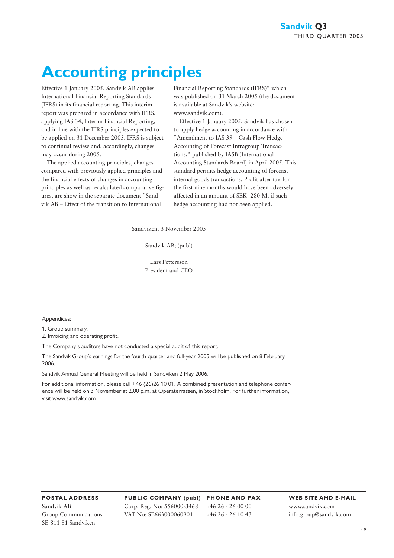## **Accounting principles**

Effective 1 January 2005, Sandvik AB applies International Financial Reporting Standards (IFRS) in its financial reporting. This interim report was prepared in accordance with IFRS, applying IAS 34, Interim Financial Reporting, and in line with the IFRS principles expected to be applied on 31 December 2005. IFRS is subject to continual review and, accordingly, changes may occur during 2005.

The applied accounting principles, changes compared with previously applied principles and the financial effects of changes in accounting principles as well as recalculated comparative figures, are show in the separate document "Sandvik AB – Effect of the transition to International

Financial Reporting Standards (IFRS)" which was published on 31 March 2005 (the document is available at Sandvik's website: www.sandvik.com).

Effective 1 January 2005, Sandvik has chosen to apply hedge accounting in accordance with "Amendment to IAS 39 – Cash Flow Hedge Accounting of Forecast Intragroup Transactions," published by IASB (International Accounting Standards Board) in April 2005. This standard permits hedge accounting of forecast internal goods transactions. Profit after tax for the first nine months would have been adversely affected in an amount of SEK -280 M, if such hedge accounting had not been applied.

Sandviken, 3 November 2005

Sandvik AB; (publ)

Lars Pettersson President and CEO

#### Appendices:

1. Group summary.

2. Invoicing and operating profit.

The Company's auditors have not conducted a special audit of this report.

The Sandvik Group's earnings for the fourth quarter and full-year 2005 will be published on 8 February 2006.

Sandvik Annual General Meeting will be held in Sandviken 2 May 2006.

For additional information, please call +46 (26)26 10 01. A combined presentation and telephone conference will be held on 3 November at 2.00 p.m. at Operaterrassen, in Stockholm. For further information, visit www.sandvik.com

**POSTAL ADDRESS** Sandvik AB Group Communications SE-811 81 Sandviken

**PUBLIC COMPANY (publ) PHONE AND FAX** Corp. Reg. No: 556000-3468 VAT No: SE663000060901  $+46$  26  $-26$  00 00 +46 26 - 26 10 43

**WEB SITE AMD E-MAIL** www.sandvik.com info.group@sandvik.com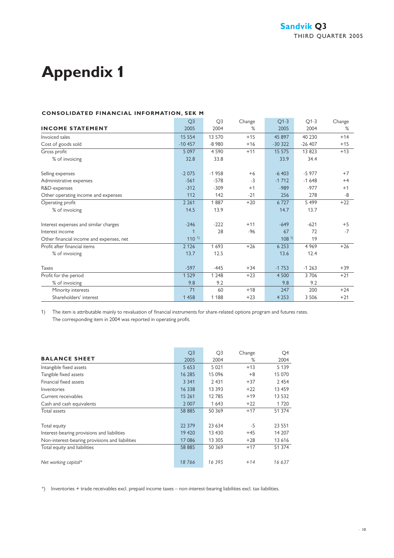## **Appendix 1**

### **CONSOLIDATED FINANCIAL INFORMATION, SEK M**

|                                          | Q <sub>3</sub> | Q <sub>3</sub> | Change | $Q1-3$           | $O1-3$   | Change |
|------------------------------------------|----------------|----------------|--------|------------------|----------|--------|
| <b>INCOME STATEMENT</b>                  | 2005           | 2004           | %      | 2005             | 2004     | %      |
| Invoiced sales                           | 15 5 5 4       | 13 570         | $+15$  | 45 897           | 40 230   | $+14$  |
| Cost of goods sold                       | $-10457$       | $-8980$        | $+16$  | $-30322$         | $-26407$ | $+15$  |
| Gross profit                             | 5 0 9 7        | 4590           | $+11$  | 15 5 7 5         | 13 823   | $+13$  |
| % of invoicing                           | 32.8           | 33.8           |        | 33.9             | 34.4     |        |
| Selling expenses                         | $-2075$        | $-1958$        | $+6$   | $-6403$          | $-5977$  | $+7$   |
| Administrative expenses                  | $-561$         | $-578$         | $-3$   | $-1712$          | $-1648$  | $+4$   |
| R&D-expenses                             | $-312$         | $-309$         | $+1$   | $-989$           | $-977$   | $+1$   |
| Other operating income and expenses      | 112            | 142            | $-21$  | 256              | 278      | -8     |
| Operating profit                         | 2 2 6 1        | 1887           | $+20$  | 6727             | 5499     | $+22$  |
| % of invoicing                           | 14.5           | 13.9           |        | 14.7             | 13.7     |        |
| Interest expenses and similar charges    | $-246$         | $-222$         | $+11$  | $-649$           | $-621$   | $+5$   |
| Interest income                          | 1              | 28             | $-96$  | 67               | 72       | $-7$   |
| Other financial income and expenses, net | $110^{-1}$     |                |        | 108 <sup>1</sup> | 19       |        |
| Profit after financial items             | 2 1 2 6        | 1693           | $+26$  | 6 2 5 3          | 4969     | $+26$  |
| % of invoicing                           | 13.7           | 12.5           |        | 13.6             | 12.4     |        |
| Taxes                                    | $-597$         | $-445$         | $+34$  | $-1753$          | $-1263$  | $+39$  |
| Profit for the period                    | 1 5 2 9        | 1 2 4 8        | $+23$  | 4 5 0 0          | 3706     | $+21$  |
| % of invoicing                           | 9.8            | 9.2            |        | 9.8              | 9.2      |        |
| Minority interests                       | 71             | 60             | $+18$  | 247              | 200      | $+24$  |
| Shareholders' interest                   | 1 4 5 8        | 1 1 8 8        | $+23$  | 4 2 5 3          | 3 5 0 6  | $+21$  |

1) The item is attributable mainly to revaluation of financial instruments for share-related options program and futures rates. The corresponding item in 2004 was reported in operating profit.

|                                                 | Q <sub>3</sub> | O <sub>3</sub> | Change | Q4       |
|-------------------------------------------------|----------------|----------------|--------|----------|
| <b>BALANCE SHEET</b>                            | 2005           | 2004           | %      | 2004     |
| Intangible fixed assets                         | 5 6 5 3        | 5 0 21         | $+13$  | 5 1 3 9  |
| Tangible fixed assets                           | 16 285         | 15 0 96        | $+8$   | 15 070   |
| Financial fixed assets                          | 3 3 4 1        | 2 4 3 1        | $+37$  | 2454     |
| Inventories                                     | 16 3 38        | 13 3 9 3       | $+22$  | 13 459   |
| Current receivables                             | 15 2 61        | 12 785         | $+19$  | 13 5 32  |
| Cash and cash equivalents                       | 2 0 0 7        | 1 6 4 3        | $+22$  | 1720     |
| Total assets                                    | 58 885         | 50 369         | $+17$  | 51 374   |
|                                                 |                |                |        |          |
| Total equity                                    | 22 3 79        | 23 634         | $-5$   | 23 5 5 1 |
| Interest-bearing provisions and liabilities     | 19 420         | 13 430         | $+45$  | 14 207   |
| Non-interest-bearing provisions and liabilities | 17086          | 13 305         | $+28$  | 13 616   |
| Total equity and liabilities                    | 58 885         | 50 369         | $+17$  | 51 374   |
| Net working capital*                            | 18766          | 16 3 9 5       | $+14$  | 16 637   |

\*) Inventories + trade receivables excl. prepaid income taxes – non-interest-bearing liabilities excl. tax liabilities.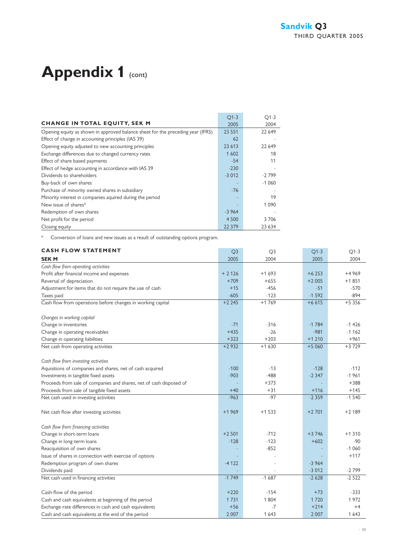## **Appendix 1 (cont)**

|                                                                                 | $Q1-3$   | $O1-3$  |
|---------------------------------------------------------------------------------|----------|---------|
| <b>CHANGE IN TOTAL EQUITY, SEK M</b>                                            | 2005     | 2004    |
| Opening equity as shown in approved balance sheet for the preceding year (IFRS) | 23 5 5 1 | 22 649  |
| Effect of change in accounting principles (IAS 39)                              | 62       |         |
| Opening equity adjusted to new accounting principles                            | 23 613   | 22 649  |
| Exchange differences due to changed currency rates                              | 1 602    | 18      |
| Effect of share based payments                                                  | $-54$    | 11      |
| Effect of hedge accounting in accordance with IAS 39                            | $-230$   |         |
| Dividends to shareholders                                                       | $-3012$  | $-2799$ |
| Buy-back of own shares                                                          |          | $-1060$ |
| Purchase of minority owned shares in subsidiary                                 | $-76$    |         |
| Minority interest in companies aguired during the period                        |          | 19      |
| New issue of shares*                                                            |          | 1 0 9 0 |
| Redemption of own shares                                                        | $-3964$  |         |
| Net profit for the period                                                       | 4 5 0 0  | 3706    |
| Closing equity                                                                  | 22 3 7 9 | 23 634  |

\* Conversion of loans and new issues as a result of outstanding options program.

| <b>CASH FLOW STATEMENT</b>                                          | Q <sub>3</sub> | O <sub>3</sub> | $O1-3$  | $O1-3$  |
|---------------------------------------------------------------------|----------------|----------------|---------|---------|
| <b>SEKM</b>                                                         | 2005           | 2004           | 2005    | 2004    |
| Cash flow from operating activities                                 |                |                |         |         |
| Profit after financial income and expenses                          | $+2126$        | $+1693$        | $+6253$ | $+4969$ |
| Reversal of depreciation                                            | $+709$         | $+655$         | $+2005$ | $+1851$ |
| Adjustment for items that do not require the use of cash            | $+15$          | $-456$         | $-51$   | $-570$  |
| Taxes paid                                                          | $-605$         | $-123$         | $-1592$ | $-894$  |
| Cash flow from operations before changes in working capital         | $+2245$        | $+1769$        | $+6615$ | $+5356$ |
|                                                                     |                |                |         |         |
| Changes in working capital                                          |                |                |         |         |
| Change in inventories                                               | $-71$          | $-316$         | $-1784$ | $-1426$ |
| Change in operating receivables                                     | $+435$         | $-26$          | $-981$  | $-1162$ |
| Change in operating liabilities                                     | $+323$         | $+203$         | $+1210$ | $+961$  |
| Net cash from operating activities                                  | $+2932$        | $+1630$        | $+5060$ | $+3729$ |
|                                                                     |                |                |         |         |
| Cash flow from investing activities                                 |                |                |         |         |
| Aquisitions of companies and shares, net of cash acquired           | $-100$         | $-13$          | $-128$  | $-112$  |
| Investments in tangible fixed assets                                | $-903$         | $-488$         | $-2347$ | $-1961$ |
| Proceeds from sale of companies and shares, net of cash disposed of |                | $+373$         |         | $+388$  |
| Proceeds from sale of tangible fixed assets                         | $+40$          | $+31$          | $+116$  | $+145$  |
| Net cash used in investing activities                               | $-963$         | $-97$          | $-2359$ | $-1540$ |
| Net cash flow after investing activities                            | $+1969$        | $+1533$        | $+2701$ | $+2189$ |
| Cash flow from financing activities                                 |                |                |         |         |
| Change in short-term loans                                          | $+2501$        | $-712$         | $+3746$ | $+1310$ |
| Change in long-term loans                                           | $-128$         | $-123$         | $+602$  | $-90$   |
| Reacquisition of own shares                                         |                | $-852$         |         | $-1060$ |
| Issue of shares in connection with exercise of options              |                |                |         | $+117$  |
| Redemption program of own shares                                    | $-4122$        |                | $-3964$ |         |
| Dividends paid                                                      |                |                | $-3012$ | $-2799$ |
| Net cash used in financing activities                               | $-1749$        | $-1687$        | $-2628$ | $-2522$ |
| Cash-flow of the period                                             | $+220$         | $-154$         | $+73$   | $-333$  |
| Cash and cash equivalents at beginning of the period                | 1731           | 1804           | 1720    | 1972    |
| Exchange-rate differences in cash and cash equivalents              | $+56$          | $-7$           | $+214$  | $+4$    |
| Cash and cash equivalents at the end of the period                  | 2 0 0 7        | 1 6 4 3        | 2 0 0 7 | 1 6 4 3 |